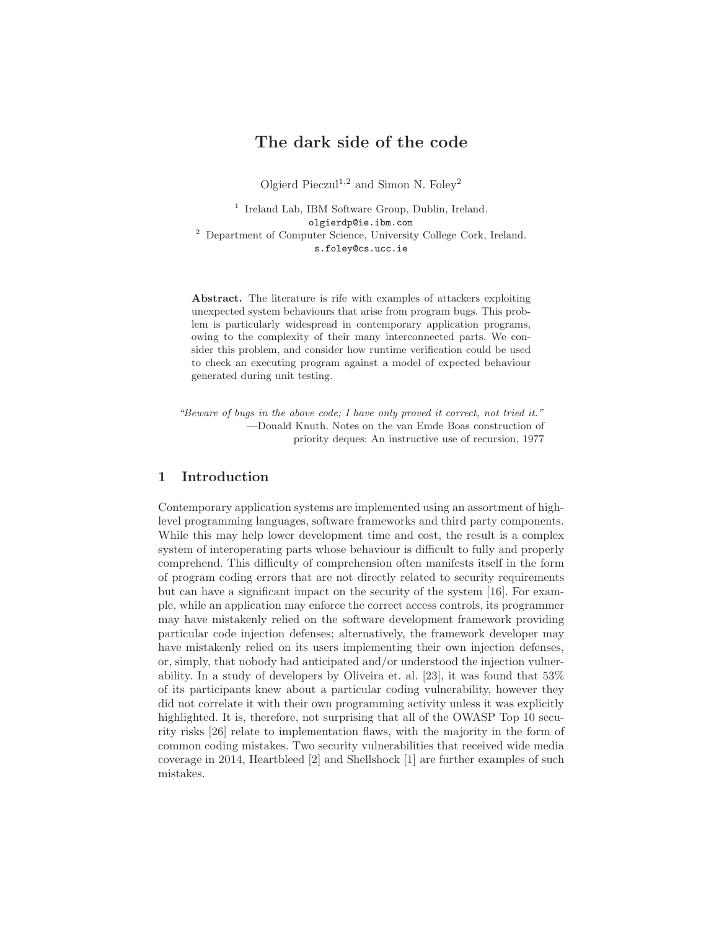# The dark side of the code

Olgierd Pieczul<sup>1,2</sup> and Simon N. Folev<sup>2</sup>

1 Ireland Lab, IBM Software Group, Dublin, Ireland. olgierdp@ie.ibm.com <sup>2</sup> Department of Computer Science, University College Cork, Ireland. s.foley@cs.ucc.ie

Abstract. The literature is rife with examples of attackers exploiting unexpected system behaviours that arise from program bugs. This problem is particularly widespread in contemporary application programs, owing to the complexity of their many interconnected parts. We consider this problem, and consider how runtime verification could be used to check an executing program against a model of expected behaviour generated during unit testing.

"Beware of bugs in the above code; I have only proved it correct, not tried it." —Donald Knuth. Notes on the van Emde Boas construction of priority deques: An instructive use of recursion, 1977

## 1 Introduction

Contemporary application systems are implemented using an assortment of highlevel programming languages, software frameworks and third party components. While this may help lower development time and cost, the result is a complex system of interoperating parts whose behaviour is difficult to fully and properly comprehend. This difficulty of comprehension often manifests itself in the form of program coding errors that are not directly related to security requirements but can have a significant impact on the security of the system [16]. For example, while an application may enforce the correct access controls, its programmer may have mistakenly relied on the software development framework providing particular code injection defenses; alternatively, the framework developer may have mistakenly relied on its users implementing their own injection defenses, or, simply, that nobody had anticipated and/or understood the injection vulnerability. In a study of developers by Oliveira et. al. [23], it was found that 53% of its participants knew about a particular coding vulnerability, however they did not correlate it with their own programming activity unless it was explicitly highlighted. It is, therefore, not surprising that all of the OWASP Top 10 security risks [26] relate to implementation flaws, with the majority in the form of common coding mistakes. Two security vulnerabilities that received wide media coverage in 2014, Heartbleed [2] and Shellshock [1] are further examples of such mistakes.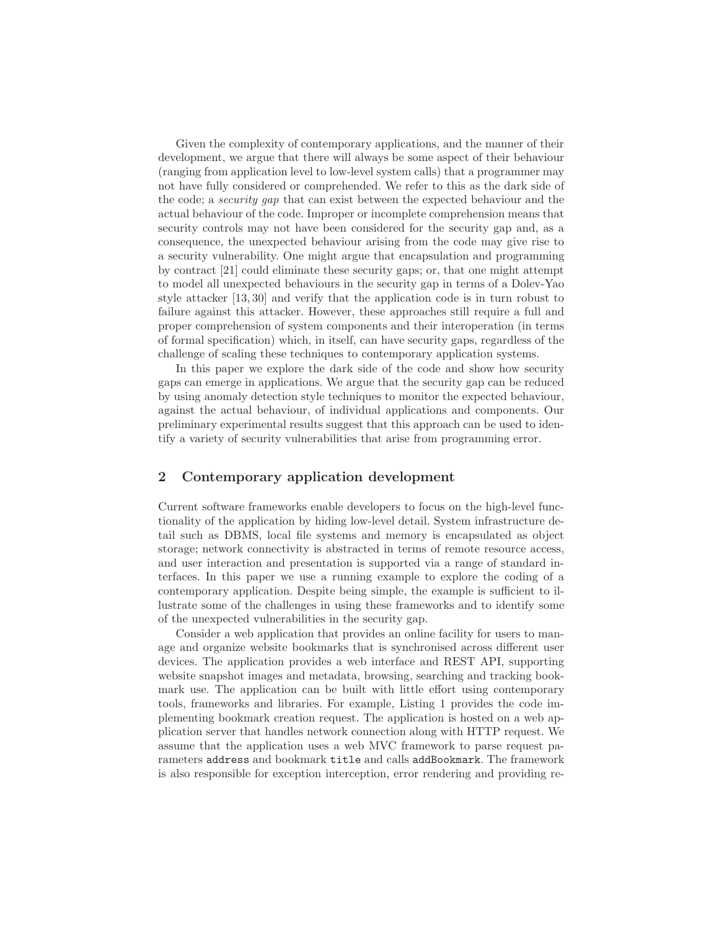Given the complexity of contemporary applications, and the manner of their development, we argue that there will always be some aspect of their behaviour (ranging from application level to low-level system calls) that a programmer may not have fully considered or comprehended. We refer to this as the dark side of the code; a security gap that can exist between the expected behaviour and the actual behaviour of the code. Improper or incomplete comprehension means that security controls may not have been considered for the security gap and, as a consequence, the unexpected behaviour arising from the code may give rise to a security vulnerability. One might argue that encapsulation and programming by contract [21] could eliminate these security gaps; or, that one might attempt to model all unexpected behaviours in the security gap in terms of a Dolev-Yao style attacker [13, 30] and verify that the application code is in turn robust to failure against this attacker. However, these approaches still require a full and proper comprehension of system components and their interoperation (in terms of formal specification) which, in itself, can have security gaps, regardless of the challenge of scaling these techniques to contemporary application systems.

In this paper we explore the dark side of the code and show how security gaps can emerge in applications. We argue that the security gap can be reduced by using anomaly detection style techniques to monitor the expected behaviour, against the actual behaviour, of individual applications and components. Our preliminary experimental results suggest that this approach can be used to identify a variety of security vulnerabilities that arise from programming error.

## 2 Contemporary application development

Current software frameworks enable developers to focus on the high-level functionality of the application by hiding low-level detail. System infrastructure detail such as DBMS, local file systems and memory is encapsulated as object storage; network connectivity is abstracted in terms of remote resource access, and user interaction and presentation is supported via a range of standard interfaces. In this paper we use a running example to explore the coding of a contemporary application. Despite being simple, the example is sufficient to illustrate some of the challenges in using these frameworks and to identify some of the unexpected vulnerabilities in the security gap.

Consider a web application that provides an online facility for users to manage and organize website bookmarks that is synchronised across different user devices. The application provides a web interface and REST API, supporting website snapshot images and metadata, browsing, searching and tracking bookmark use. The application can be built with little effort using contemporary tools, frameworks and libraries. For example, Listing 1 provides the code implementing bookmark creation request. The application is hosted on a web application server that handles network connection along with HTTP request. We assume that the application uses a web MVC framework to parse request parameters address and bookmark title and calls addBookmark. The framework is also responsible for exception interception, error rendering and providing re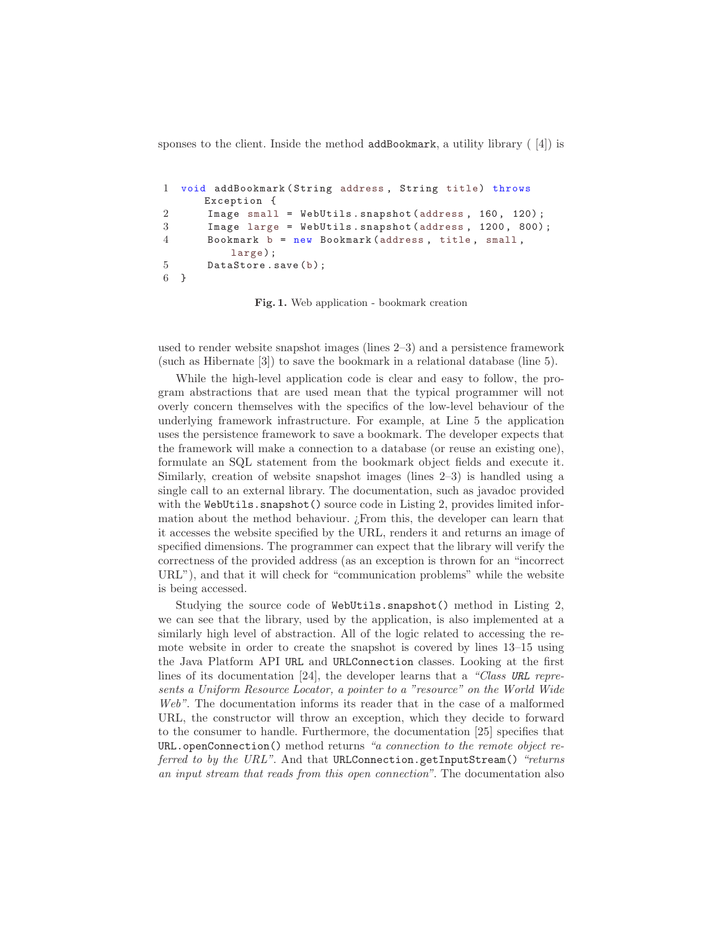sponses to the client. Inside the method  $addBookmark$ , a utility library ( $\vert 4 \vert$ ) is

```
1 void addBookmark ( String address , String title) throws
      Exception {
2 Image small = WebUtils . snapshot ( address , 160 , 120) ;
3 Image large = WebUtils . snapshot ( address , 1200 , 800) ;
4 Bookmark b = new Bookmark (address , title , small ,
          large);
5 DataStore.save(b);
6 }
```
Fig. 1. Web application - bookmark creation

used to render website snapshot images (lines 2–3) and a persistence framework (such as Hibernate [3]) to save the bookmark in a relational database (line 5).

While the high-level application code is clear and easy to follow, the program abstractions that are used mean that the typical programmer will not overly concern themselves with the specifics of the low-level behaviour of the underlying framework infrastructure. For example, at Line 5 the application uses the persistence framework to save a bookmark. The developer expects that the framework will make a connection to a database (or reuse an existing one), formulate an SQL statement from the bookmark object fields and execute it. Similarly, creation of website snapshot images (lines 2–3) is handled using a single call to an external library. The documentation, such as javadoc provided with the WebUtils.snapshot() source code in Listing 2, provides limited information about the method behaviour. ¿From this, the developer can learn that it accesses the website specified by the URL, renders it and returns an image of specified dimensions. The programmer can expect that the library will verify the correctness of the provided address (as an exception is thrown for an "incorrect URL"), and that it will check for "communication problems" while the website is being accessed.

Studying the source code of WebUtils.snapshot() method in Listing 2, we can see that the library, used by the application, is also implemented at a similarly high level of abstraction. All of the logic related to accessing the remote website in order to create the snapshot is covered by lines 13–15 using the Java Platform API URL and URLConnection classes. Looking at the first lines of its documentation [24], the developer learns that a "Class URL represents a Uniform Resource Locator, a pointer to a "resource" on the World Wide Web". The documentation informs its reader that in the case of a malformed URL, the constructor will throw an exception, which they decide to forward to the consumer to handle. Furthermore, the documentation [25] specifies that URL.openConnection() method returns "a connection to the remote object referred to by the URL". And that URLConnection.getInputStream() "returns an input stream that reads from this open connection". The documentation also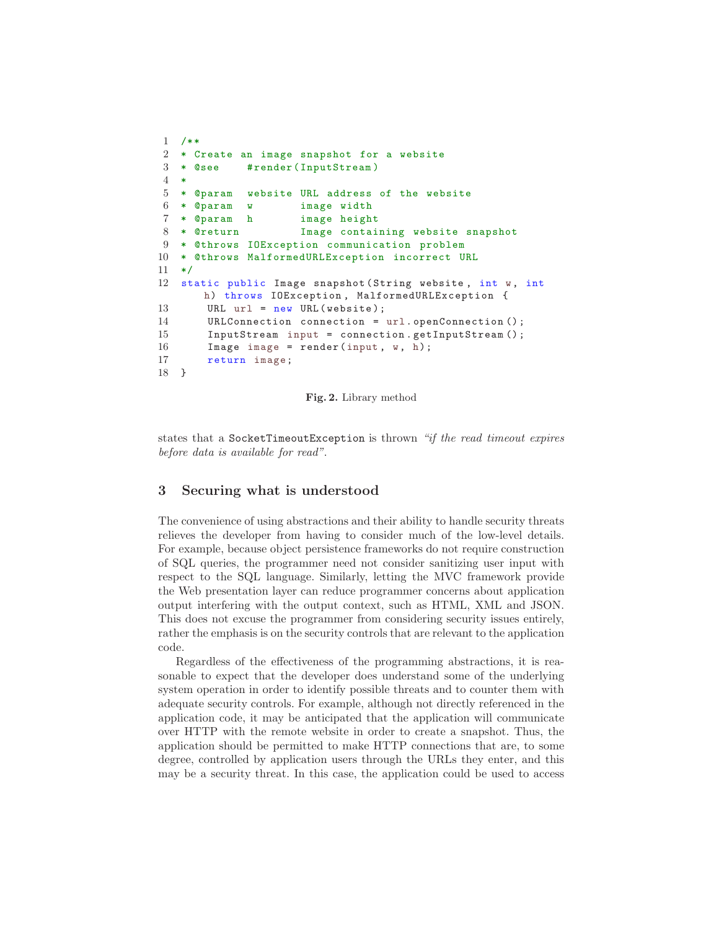```
1 / **2 * Create an image snapshot for a website
3 * @see # render ( InputStream )
\overline{4}5 * @param website URL address of the website
6 * @param w image width
7 * @param h image height
8 * @return Image containing website snapshot
9 * @throws IOException communication problem
10 * @throws MalformedURLException incorrect URL
11 */
12 static public Image snapshot ( String website , int w, int
      h) throws IOException , MalformedURLException {
13 URL url = new URL (website);
14 URLConnection connection = url. openConnection () ;
15 InputStream input = connection . getInputStream () ;
16 Image image = render (input, w, h);
17 return image;
18 }
```
Fig. 2. Library method

states that a SocketTimeoutException is thrown "if the read timeout expires before data is available for read".

### 3 Securing what is understood

The convenience of using abstractions and their ability to handle security threats relieves the developer from having to consider much of the low-level details. For example, because object persistence frameworks do not require construction of SQL queries, the programmer need not consider sanitizing user input with respect to the SQL language. Similarly, letting the MVC framework provide the Web presentation layer can reduce programmer concerns about application output interfering with the output context, such as HTML, XML and JSON. This does not excuse the programmer from considering security issues entirely, rather the emphasis is on the security controls that are relevant to the application code.

Regardless of the effectiveness of the programming abstractions, it is reasonable to expect that the developer does understand some of the underlying system operation in order to identify possible threats and to counter them with adequate security controls. For example, although not directly referenced in the application code, it may be anticipated that the application will communicate over HTTP with the remote website in order to create a snapshot. Thus, the application should be permitted to make HTTP connections that are, to some degree, controlled by application users through the URLs they enter, and this may be a security threat. In this case, the application could be used to access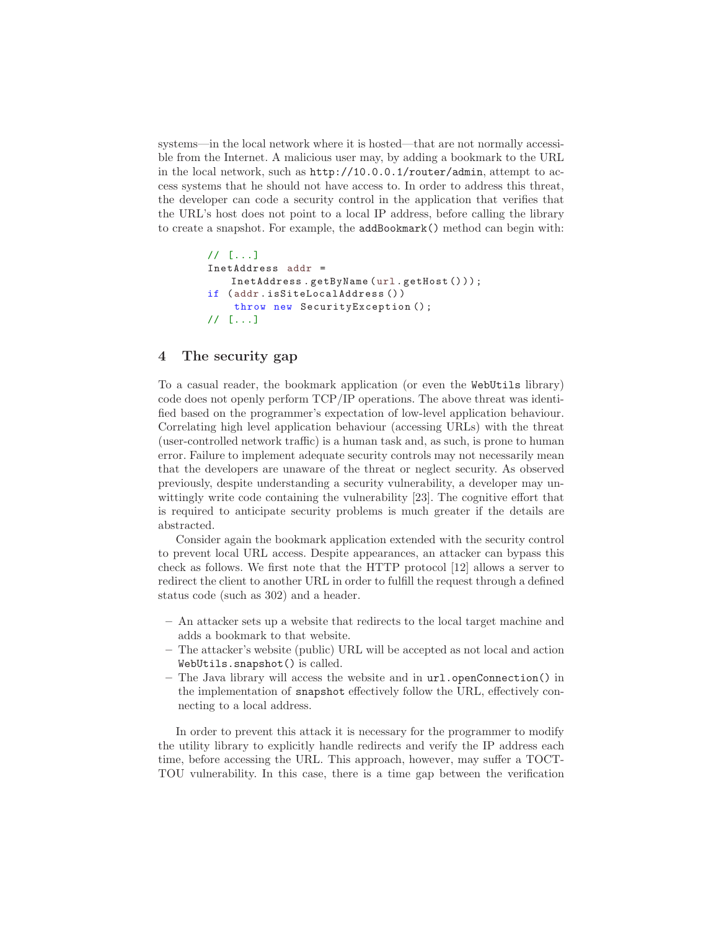systems—in the local network where it is hosted—that are not normally accessible from the Internet. A malicious user may, by adding a bookmark to the URL in the local network, such as  $http://10.0.0.1/router/admin, attempt to ac$ cess systems that he should not have access to. In order to address this threat, the developer can code a security control in the application that verifies that the URL's host does not point to a local IP address, before calling the library to create a snapshot. For example, the addBookmark() method can begin with:

```
// [...]
InetAddress addr =
    InetAddress . getByName (url. getHost () ));
if ( addr . isSiteLocalAddress () )
    throw new SecurityException () ;
// [...]
```
## 4 The security gap

To a casual reader, the bookmark application (or even the WebUtils library) code does not openly perform TCP/IP operations. The above threat was identified based on the programmer's expectation of low-level application behaviour. Correlating high level application behaviour (accessing URLs) with the threat (user-controlled network traffic) is a human task and, as such, is prone to human error. Failure to implement adequate security controls may not necessarily mean that the developers are unaware of the threat or neglect security. As observed previously, despite understanding a security vulnerability, a developer may unwittingly write code containing the vulnerability [23]. The cognitive effort that is required to anticipate security problems is much greater if the details are abstracted.

Consider again the bookmark application extended with the security control to prevent local URL access. Despite appearances, an attacker can bypass this check as follows. We first note that the HTTP protocol [12] allows a server to redirect the client to another URL in order to fulfill the request through a defined status code (such as 302) and a header.

- An attacker sets up a website that redirects to the local target machine and adds a bookmark to that website.
- The attacker's website (public) URL will be accepted as not local and action WebUtils.snapshot() is called.
- The Java library will access the website and in url.openConnection() in the implementation of snapshot effectively follow the URL, effectively connecting to a local address.

In order to prevent this attack it is necessary for the programmer to modify the utility library to explicitly handle redirects and verify the IP address each time, before accessing the URL. This approach, however, may suffer a TOCT-TOU vulnerability. In this case, there is a time gap between the verification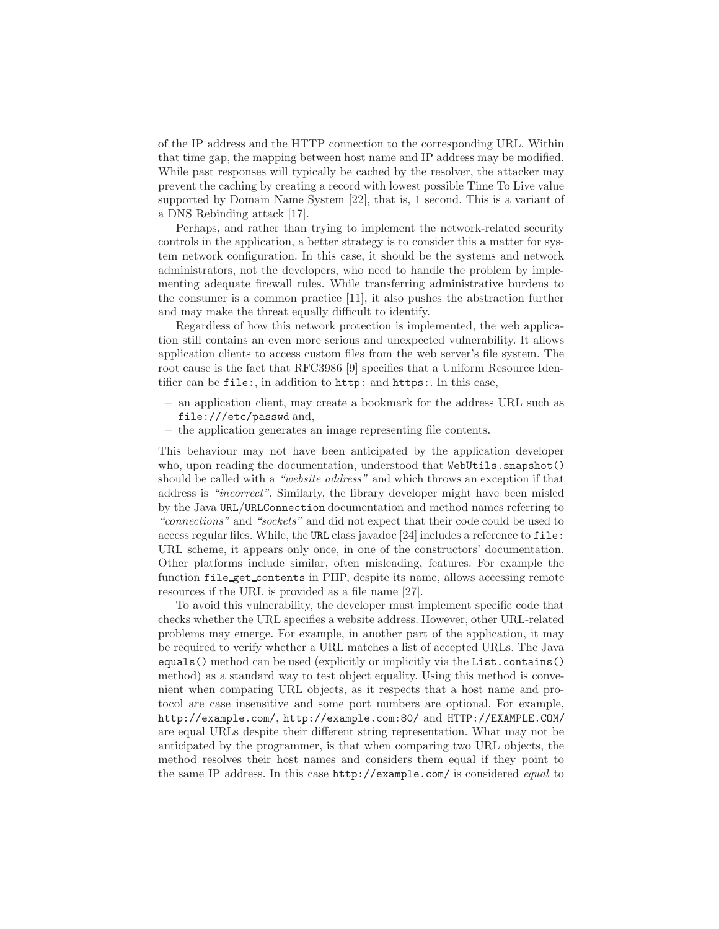of the IP address and the HTTP connection to the corresponding URL. Within that time gap, the mapping between host name and IP address may be modified. While past responses will typically be cached by the resolver, the attacker may prevent the caching by creating a record with lowest possible Time To Live value supported by Domain Name System [22], that is, 1 second. This is a variant of a DNS Rebinding attack [17].

Perhaps, and rather than trying to implement the network-related security controls in the application, a better strategy is to consider this a matter for system network configuration. In this case, it should be the systems and network administrators, not the developers, who need to handle the problem by implementing adequate firewall rules. While transferring administrative burdens to the consumer is a common practice [11], it also pushes the abstraction further and may make the threat equally difficult to identify.

Regardless of how this network protection is implemented, the web application still contains an even more serious and unexpected vulnerability. It allows application clients to access custom files from the web server's file system. The root cause is the fact that RFC3986 [9] specifies that a Uniform Resource Identifier can be file:, in addition to http: and https:. In this case,

- an application client, may create a bookmark for the address URL such as file:///etc/passwd and,
- the application generates an image representing file contents.

This behaviour may not have been anticipated by the application developer who, upon reading the documentation, understood that WebUtils.snapshot() should be called with a "website address" and which throws an exception if that address is "incorrect". Similarly, the library developer might have been misled by the Java URL/URLConnection documentation and method names referring to "connections" and "sockets" and did not expect that their code could be used to access regular files. While, the URL class javadoc [24] includes a reference to file: URL scheme, it appears only once, in one of the constructors' documentation. Other platforms include similar, often misleading, features. For example the function file get contents in PHP, despite its name, allows accessing remote resources if the URL is provided as a file name [27].

To avoid this vulnerability, the developer must implement specific code that checks whether the URL specifies a website address. However, other URL-related problems may emerge. For example, in another part of the application, it may be required to verify whether a URL matches a list of accepted URLs. The Java equals() method can be used (explicitly or implicitly via the List.contains() method) as a standard way to test object equality. Using this method is convenient when comparing URL objects, as it respects that a host name and protocol are case insensitive and some port numbers are optional. For example, http://example.com/, http://example.com:80/ and HTTP://EXAMPLE.COM/ are equal URLs despite their different string representation. What may not be anticipated by the programmer, is that when comparing two URL objects, the method resolves their host names and considers them equal if they point to the same IP address. In this case http://example.com/ is considered equal to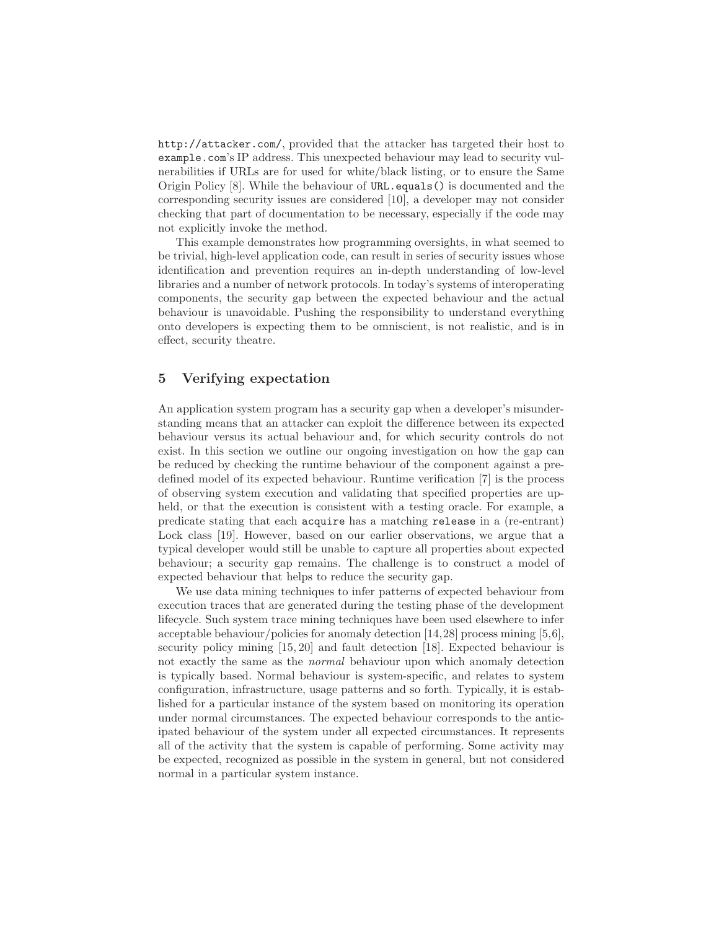http://attacker.com/, provided that the attacker has targeted their host to example.com's IP address. This unexpected behaviour may lead to security vulnerabilities if URLs are for used for white/black listing, or to ensure the Same Origin Policy [8]. While the behaviour of URL.equals() is documented and the corresponding security issues are considered [10], a developer may not consider checking that part of documentation to be necessary, especially if the code may not explicitly invoke the method.

This example demonstrates how programming oversights, in what seemed to be trivial, high-level application code, can result in series of security issues whose identification and prevention requires an in-depth understanding of low-level libraries and a number of network protocols. In today's systems of interoperating components, the security gap between the expected behaviour and the actual behaviour is unavoidable. Pushing the responsibility to understand everything onto developers is expecting them to be omniscient, is not realistic, and is in effect, security theatre.

#### 5 Verifying expectation

An application system program has a security gap when a developer's misunderstanding means that an attacker can exploit the difference between its expected behaviour versus its actual behaviour and, for which security controls do not exist. In this section we outline our ongoing investigation on how the gap can be reduced by checking the runtime behaviour of the component against a predefined model of its expected behaviour. Runtime verification [7] is the process of observing system execution and validating that specified properties are upheld, or that the execution is consistent with a testing oracle. For example, a predicate stating that each acquire has a matching release in a (re-entrant) Lock class [19]. However, based on our earlier observations, we argue that a typical developer would still be unable to capture all properties about expected behaviour; a security gap remains. The challenge is to construct a model of expected behaviour that helps to reduce the security gap.

We use data mining techniques to infer patterns of expected behaviour from execution traces that are generated during the testing phase of the development lifecycle. Such system trace mining techniques have been used elsewhere to infer acceptable behaviour/policies for anomaly detection [14,28] process mining [5,6], security policy mining [15, 20] and fault detection [18]. Expected behaviour is not exactly the same as the normal behaviour upon which anomaly detection is typically based. Normal behaviour is system-specific, and relates to system configuration, infrastructure, usage patterns and so forth. Typically, it is established for a particular instance of the system based on monitoring its operation under normal circumstances. The expected behaviour corresponds to the anticipated behaviour of the system under all expected circumstances. It represents all of the activity that the system is capable of performing. Some activity may be expected, recognized as possible in the system in general, but not considered normal in a particular system instance.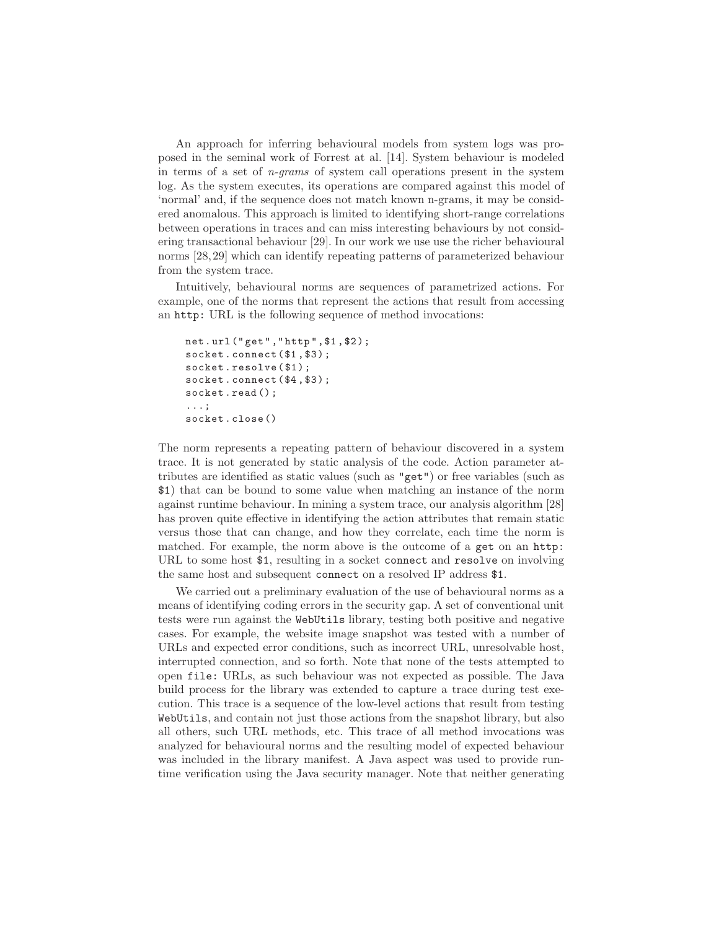An approach for inferring behavioural models from system logs was proposed in the seminal work of Forrest at al. [14]. System behaviour is modeled in terms of a set of n-grams of system call operations present in the system log. As the system executes, its operations are compared against this model of 'normal' and, if the sequence does not match known n-grams, it may be considered anomalous. This approach is limited to identifying short-range correlations between operations in traces and can miss interesting behaviours by not considering transactional behaviour [29]. In our work we use use the richer behavioural norms [28, 29] which can identify repeating patterns of parameterized behaviour from the system trace.

Intuitively, behavioural norms are sequences of parametrized actions. For example, one of the norms that represent the actions that result from accessing an http: URL is the following sequence of method invocations:

```
net . url (" get " ," http ",$1 , $2 );
socket.connect($1,$3);
socket.resolve($1);
socket . connect ($4 , $3 );
socket . read () ;
...;
socket . close ()
```
The norm represents a repeating pattern of behaviour discovered in a system trace. It is not generated by static analysis of the code. Action parameter attributes are identified as static values (such as "get") or free variables (such as \$1) that can be bound to some value when matching an instance of the norm against runtime behaviour. In mining a system trace, our analysis algorithm [28] has proven quite effective in identifying the action attributes that remain static versus those that can change, and how they correlate, each time the norm is matched. For example, the norm above is the outcome of a get on an http: URL to some host \$1, resulting in a socket connect and resolve on involving the same host and subsequent connect on a resolved IP address \$1.

We carried out a preliminary evaluation of the use of behavioural norms as a means of identifying coding errors in the security gap. A set of conventional unit tests were run against the WebUtils library, testing both positive and negative cases. For example, the website image snapshot was tested with a number of URLs and expected error conditions, such as incorrect URL, unresolvable host, interrupted connection, and so forth. Note that none of the tests attempted to open file: URLs, as such behaviour was not expected as possible. The Java build process for the library was extended to capture a trace during test execution. This trace is a sequence of the low-level actions that result from testing WebUtils, and contain not just those actions from the snapshot library, but also all others, such URL methods, etc. This trace of all method invocations was analyzed for behavioural norms and the resulting model of expected behaviour was included in the library manifest. A Java aspect was used to provide runtime verification using the Java security manager. Note that neither generating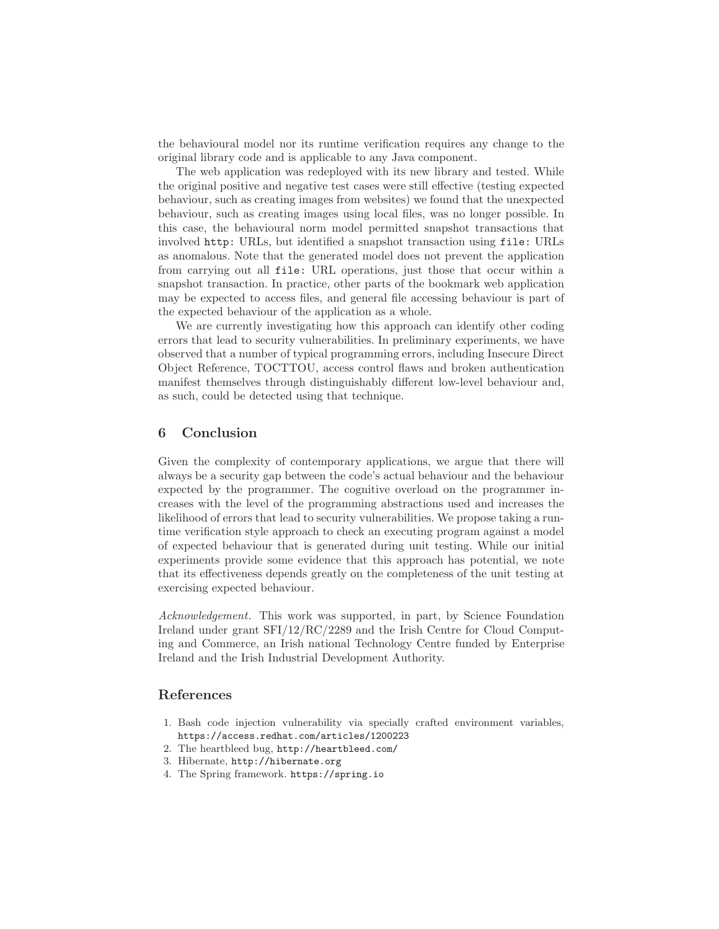the behavioural model nor its runtime verification requires any change to the original library code and is applicable to any Java component.

The web application was redeployed with its new library and tested. While the original positive and negative test cases were still effective (testing expected behaviour, such as creating images from websites) we found that the unexpected behaviour, such as creating images using local files, was no longer possible. In this case, the behavioural norm model permitted snapshot transactions that involved http: URLs, but identified a snapshot transaction using file: URLs as anomalous. Note that the generated model does not prevent the application from carrying out all file: URL operations, just those that occur within a snapshot transaction. In practice, other parts of the bookmark web application may be expected to access files, and general file accessing behaviour is part of the expected behaviour of the application as a whole.

We are currently investigating how this approach can identify other coding errors that lead to security vulnerabilities. In preliminary experiments, we have observed that a number of typical programming errors, including Insecure Direct Object Reference, TOCTTOU, access control flaws and broken authentication manifest themselves through distinguishably different low-level behaviour and, as such, could be detected using that technique.

#### 6 Conclusion

Given the complexity of contemporary applications, we argue that there will always be a security gap between the code's actual behaviour and the behaviour expected by the programmer. The cognitive overload on the programmer increases with the level of the programming abstractions used and increases the likelihood of errors that lead to security vulnerabilities. We propose taking a runtime verification style approach to check an executing program against a model of expected behaviour that is generated during unit testing. While our initial experiments provide some evidence that this approach has potential, we note that its effectiveness depends greatly on the completeness of the unit testing at exercising expected behaviour.

Acknowledgement. This work was supported, in part, by Science Foundation Ireland under grant SFI/12/RC/2289 and the Irish Centre for Cloud Computing and Commerce, an Irish national Technology Centre funded by Enterprise Ireland and the Irish Industrial Development Authority.

#### References

- 1. Bash code injection vulnerability via specially crafted environment variables, https://access.redhat.com/articles/1200223
- 2. The heartbleed bug, http://heartbleed.com/
- 3. Hibernate, http://hibernate.org
- 4. The Spring framework. https://spring.io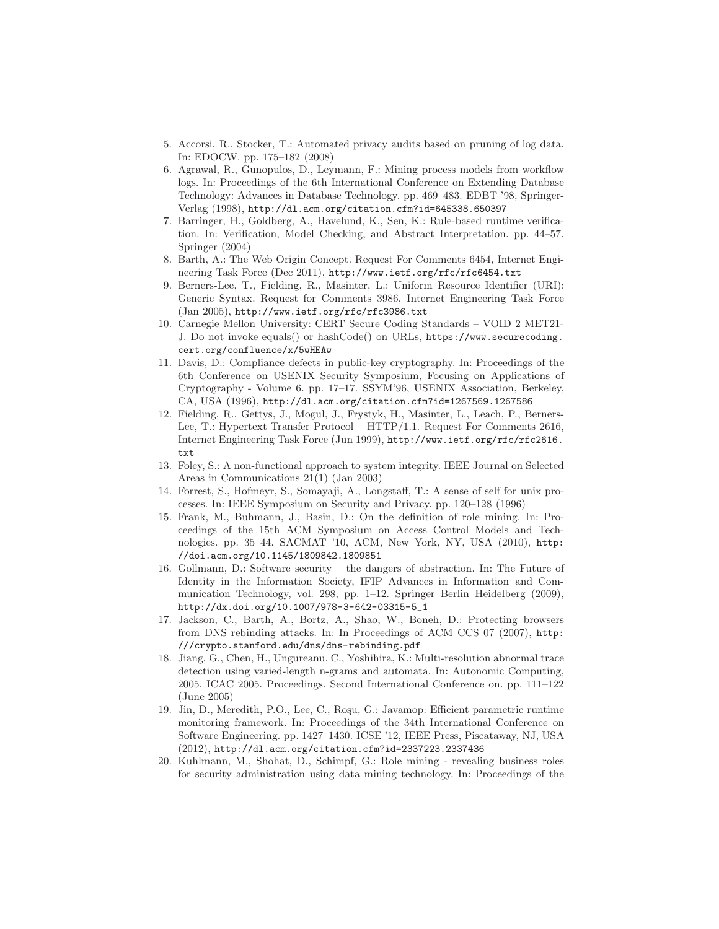- 5. Accorsi, R., Stocker, T.: Automated privacy audits based on pruning of log data. In: EDOCW. pp. 175–182 (2008)
- 6. Agrawal, R., Gunopulos, D., Leymann, F.: Mining process models from workflow logs. In: Proceedings of the 6th International Conference on Extending Database Technology: Advances in Database Technology. pp. 469–483. EDBT '98, Springer-Verlag (1998), http://dl.acm.org/citation.cfm?id=645338.650397
- 7. Barringer, H., Goldberg, A., Havelund, K., Sen, K.: Rule-based runtime verification. In: Verification, Model Checking, and Abstract Interpretation. pp. 44–57. Springer (2004)
- 8. Barth, A.: The Web Origin Concept. Request For Comments 6454, Internet Engineering Task Force (Dec 2011), http://www.ietf.org/rfc/rfc6454.txt
- 9. Berners-Lee, T., Fielding, R., Masinter, L.: Uniform Resource Identifier (URI): Generic Syntax. Request for Comments 3986, Internet Engineering Task Force (Jan 2005), http://www.ietf.org/rfc/rfc3986.txt
- 10. Carnegie Mellon University: CERT Secure Coding Standards VOID 2 MET21- J. Do not invoke equals() or hashCode() on URLs, https://www.securecoding. cert.org/confluence/x/5wHEAw
- 11. Davis, D.: Compliance defects in public-key cryptography. In: Proceedings of the 6th Conference on USENIX Security Symposium, Focusing on Applications of Cryptography - Volume 6. pp. 17–17. SSYM'96, USENIX Association, Berkeley, CA, USA (1996), http://dl.acm.org/citation.cfm?id=1267569.1267586
- 12. Fielding, R., Gettys, J., Mogul, J., Frystyk, H., Masinter, L., Leach, P., Berners-Lee, T.: Hypertext Transfer Protocol – HTTP/1.1. Request For Comments 2616, Internet Engineering Task Force (Jun 1999), http://www.ietf.org/rfc/rfc2616. txt
- 13. Foley, S.: A non-functional approach to system integrity. IEEE Journal on Selected Areas in Communications 21(1) (Jan 2003)
- 14. Forrest, S., Hofmeyr, S., Somayaji, A., Longstaff, T.: A sense of self for unix processes. In: IEEE Symposium on Security and Privacy. pp. 120–128 (1996)
- 15. Frank, M., Buhmann, J., Basin, D.: On the definition of role mining. In: Proceedings of the 15th ACM Symposium on Access Control Models and Technologies. pp. 35–44. SACMAT '10, ACM, New York, NY, USA (2010), http: //doi.acm.org/10.1145/1809842.1809851
- 16. Gollmann, D.: Software security the dangers of abstraction. In: The Future of Identity in the Information Society, IFIP Advances in Information and Communication Technology, vol. 298, pp. 1–12. Springer Berlin Heidelberg (2009), http://dx.doi.org/10.1007/978-3-642-03315-5\_1
- 17. Jackson, C., Barth, A., Bortz, A., Shao, W., Boneh, D.: Protecting browsers from DNS rebinding attacks. In: In Proceedings of ACM CCS 07 (2007), http: ///crypto.stanford.edu/dns/dns-rebinding.pdf
- 18. Jiang, G., Chen, H., Ungureanu, C., Yoshihira, K.: Multi-resolution abnormal trace detection using varied-length n-grams and automata. In: Autonomic Computing, 2005. ICAC 2005. Proceedings. Second International Conference on. pp. 111–122 (June 2005)
- 19. Jin, D., Meredith, P.O., Lee, C., Roşu, G.: Javamop: Efficient parametric runtime monitoring framework. In: Proceedings of the 34th International Conference on Software Engineering. pp. 1427–1430. ICSE '12, IEEE Press, Piscataway, NJ, USA (2012), http://dl.acm.org/citation.cfm?id=2337223.2337436
- 20. Kuhlmann, M., Shohat, D., Schimpf, G.: Role mining revealing business roles for security administration using data mining technology. In: Proceedings of the